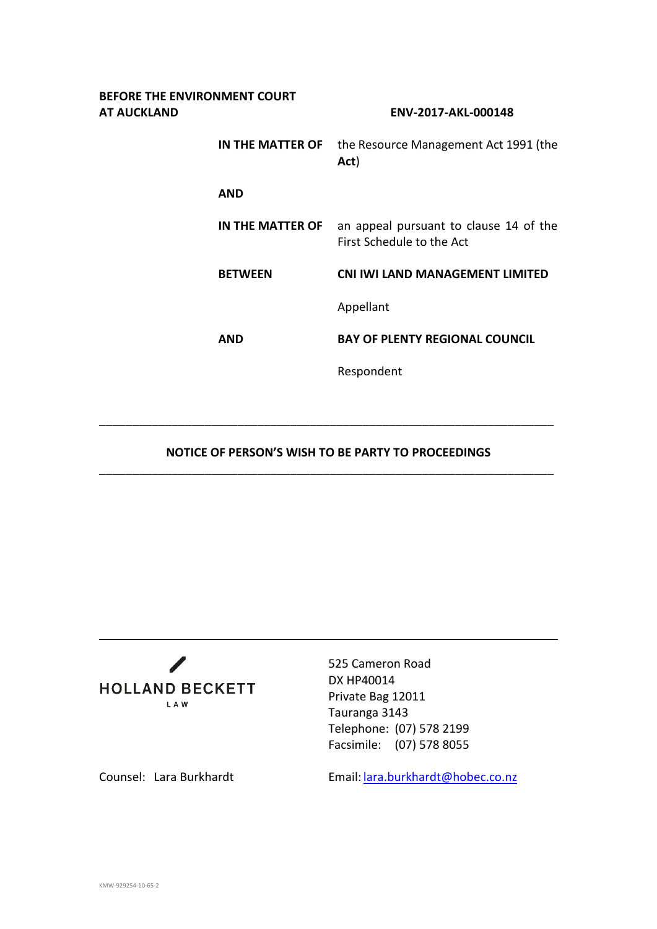| BEFORE THE ENVIRONMENT COURT<br>AT AUCKLAND |                  | ENV-2017-AKL-000148                                                 |
|---------------------------------------------|------------------|---------------------------------------------------------------------|
|                                             | IN THE MATTER OF | the Resource Management Act 1991 (the<br>Act)                       |
|                                             | <b>AND</b>       |                                                                     |
|                                             | IN THE MATTER OF | an appeal pursuant to clause 14 of the<br>First Schedule to the Act |
|                                             | <b>BETWEEN</b>   | <b>CNI IWI LAND MANAGEMENT LIMITED</b>                              |
|                                             |                  | Appellant                                                           |
|                                             | <b>AND</b>       | <b>BAY OF PLENTY REGIONAL COUNCIL</b>                               |
|                                             |                  | Respondent                                                          |
|                                             |                  |                                                                     |

## **NOTICE OF PERSON'S WISH TO BE PARTY TO PROCEEDINGS** \_\_\_\_\_\_\_\_\_\_\_\_\_\_\_\_\_\_\_\_\_\_\_\_\_\_\_\_\_\_\_\_\_\_\_\_\_\_\_\_\_\_\_\_\_\_\_\_\_\_\_\_\_\_\_\_\_\_\_\_\_\_\_\_\_\_\_\_\_

\_\_\_\_\_\_\_\_\_\_\_\_\_\_\_\_\_\_\_\_\_\_\_\_\_\_\_\_\_\_\_\_\_\_\_\_\_\_\_\_\_\_\_\_\_\_\_\_\_\_\_\_\_\_\_\_\_\_\_\_\_\_\_\_\_\_\_\_\_



525 Cameron Road DX HP40014 Private Bag 12011 Tauranga 3143 Telephone: (07) 578 2199 Facsimile: (07) 578 8055

Counsel: Lara Burkhardt Email: [lara.burkhardt@hobec.co.nz](mailto:lara.burkhardt@hobec.co.nz)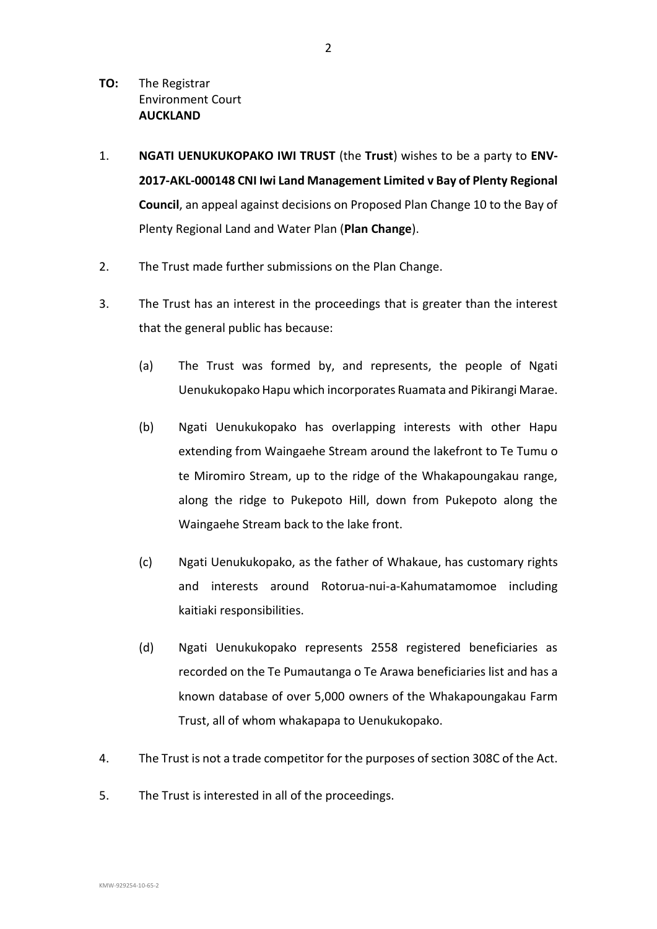- **TO:** The Registrar Environment Court **AUCKLAND**
- 1. **NGATI UENUKUKOPAKO IWI TRUST** (the **Trust**) wishes to be a party to **ENV-2017-AKL-000148 CNI Iwi Land Management Limited v Bay of Plenty Regional Council**, an appeal against decisions on Proposed Plan Change 10 to the Bay of Plenty Regional Land and Water Plan (**Plan Change**).
- 2. The Trust made further submissions on the Plan Change.
- 3. The Trust has an interest in the proceedings that is greater than the interest that the general public has because:
	- (a) The Trust was formed by, and represents, the people of Ngati Uenukukopako Hapu which incorporates Ruamata and Pikirangi Marae.
	- (b) Ngati Uenukukopako has overlapping interests with other Hapu extending from Waingaehe Stream around the lakefront to Te Tumu o te Miromiro Stream, up to the ridge of the Whakapoungakau range, along the ridge to Pukepoto Hill, down from Pukepoto along the Waingaehe Stream back to the lake front.
	- (c) Ngati Uenukukopako, as the father of Whakaue, has customary rights and interests around Rotorua-nui-a-Kahumatamomoe including kaitiaki responsibilities.
	- (d) Ngati Uenukukopako represents 2558 registered beneficiaries as recorded on the Te Pumautanga o Te Arawa beneficiaries list and has a known database of over 5,000 owners of the Whakapoungakau Farm Trust, all of whom whakapapa to Uenukukopako.
- 4. The Trust is not a trade competitor for the purposes of section 308C of the Act.
- 5. The Trust is interested in all of the proceedings.

2